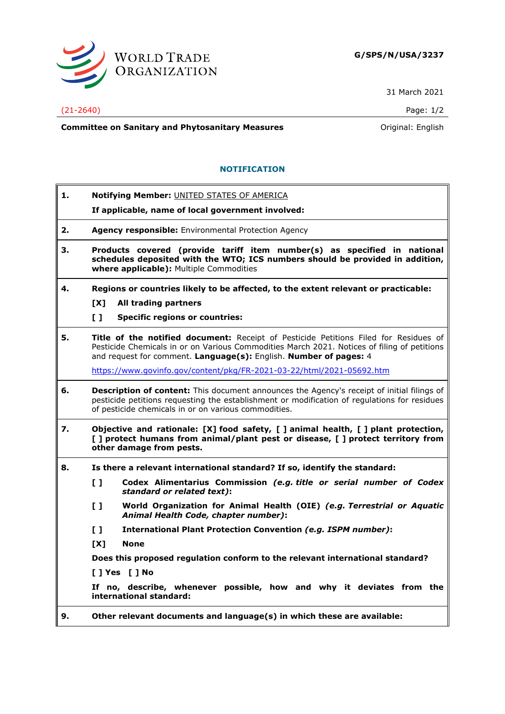

31 March 2021

## (21-2640) Page: 1/2

**Committee on Sanitary and Phytosanitary Measures Committee on Sanitary and Phytosanitary Measures Committee And American** 

## **NOTIFICATION**

**1. Notifying Member:** UNITED STATES OF AMERICA **If applicable, name of local government involved: 2. Agency responsible:** Environmental Protection Agency **3. Products covered (provide tariff item number(s) as specified in national schedules deposited with the WTO; ICS numbers should be provided in addition, where applicable):** Multiple Commodities **4. Regions or countries likely to be affected, to the extent relevant or practicable: [X] All trading partners [ ] Specific regions or countries: 5. Title of the notified document:** Receipt of Pesticide Petitions Filed for Residues of Pesticide Chemicals in or on Various Commodities March 2021. Notices of filing of petitions and request for comment. **Language(s):** English. **Number of pages:** 4 <https://www.govinfo.gov/content/pkg/FR-2021-03-22/html/2021-05692.htm> **6. Description of content:** This document announces the Agency's receipt of initial filings of pesticide petitions requesting the establishment or modification of regulations for residues of pesticide chemicals in or on various commodities. **7. Objective and rationale: [X] food safety, [ ] animal health, [ ] plant protection, [ ] protect humans from animal/plant pest or disease, [ ] protect territory from other damage from pests. 8. Is there a relevant international standard? If so, identify the standard: [ ] Codex Alimentarius Commission** *(e.g. title or serial number of Codex standard or related text)***: [ ] World Organization for Animal Health (OIE)** *(e.g. Terrestrial or Aquatic Animal Health Code, chapter number)***: [ ] International Plant Protection Convention** *(e.g. ISPM number)***: [X] None Does this proposed regulation conform to the relevant international standard? [ ] Yes [ ] No If no, describe, whenever possible, how and why it deviates from the international standard: 9. Other relevant documents and language(s) in which these are available:**